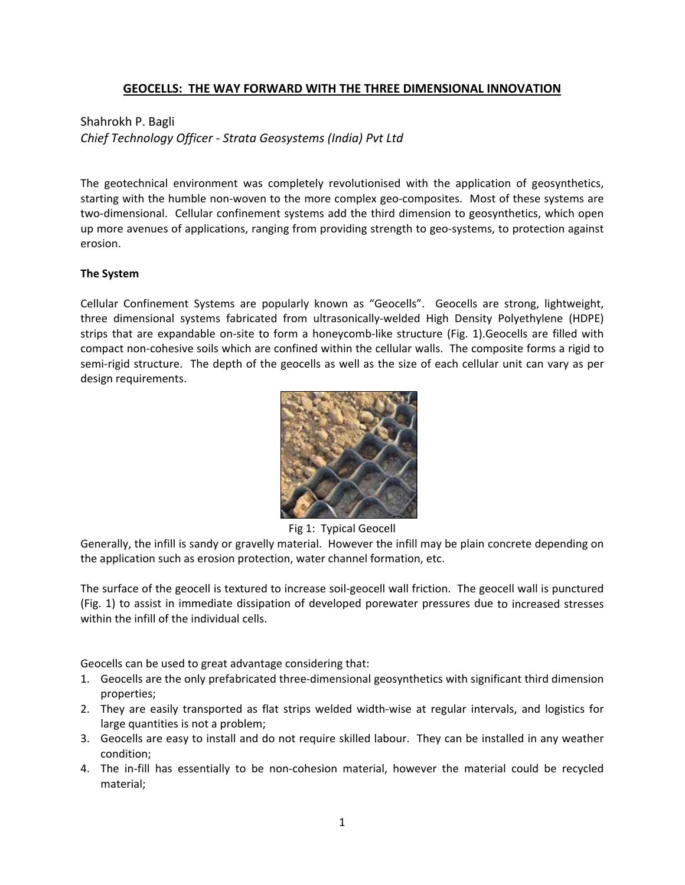## **GEOCELLS: THE WAY FORWARD WITH THE THREE DIMENSIONAL INNOVATION**

# Shahrokh P. Bagli

*Chief Technology Officer ‐ Strata Geosystems (India) Pvt Ltd*

The geotechnical environment was completely revolutionised with the application of geosynthetics, starting with the humble non‐woven to the more complex geo‐composites. Most of these systems are two‐dimensional. Cellular confinement systems add the third dimension to geosynthetics, which open up more avenues of applications, ranging from providing strength to geo‐systems, to protection against erosion.

## **The System**

Cellular Confinement Systems are popularly known as "Geocells". Geocells are strong, lightweight, three dimensional systems fabricated from ultrasonically‐welded High Density Polyethylene (HDPE) strips that are expandable on-site to form a honeycomb-like structure (Fig. 1). Geocells are filled with compact non‐cohesive soils which are confined within the cellular walls. The composite forms a rigid to semi-rigid structure. The depth of the geocells as well as the size of each cellular unit can vary as per design requirements.



Fig 1: Typical Geocell

Generally, the infill is sandy or gravelly material. However the infill may be plain concrete depending on the application such as erosion protection, water channel formation, etc.

The surface of the geocell is textured to increase soil‐geocell wall friction. The geocell wall is punctured (Fig. 1) to assist in immediate dissipation of developed porewater pressures due to increased stresses within the infill of the individual cells.

Geocells can be used to great advantage considering that:

- 1. Geocells are the only prefabricated three‐dimensional geosynthetics with significant third dimension properties;
- 2. They are easily transported as flat strips welded width-wise at regular intervals, and logistics for large quantities is not a problem;
- 3. Geocells are easy to install and do not require skilled labour. They can be installed in any weather condition;
- 4. The in-fill has essentially to be non-cohesion material, however the material could be recycled material;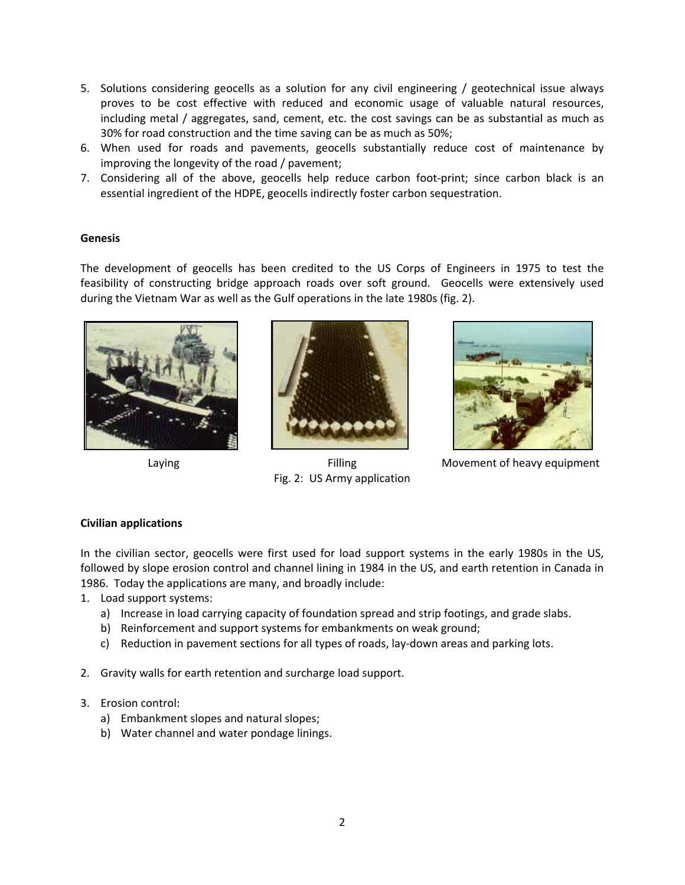- 5. Solutions considering geocells as a solution for any civil engineering / geotechnical issue always proves to be cost effective with reduced and economic usage of valuable natural resources, including metal / aggregates, sand, cement, etc. the cost savings can be as substantial as much as 30% for road construction and the time saving can be as much as 50%;
- 6. When used for roads and pavements, geocells substantially reduce cost of maintenance by improving the longevity of the road / pavement;
- 7. Considering all of the above, geocells help reduce carbon foot‐print; since carbon black is an essential ingredient of the HDPE, geocells indirectly foster carbon sequestration.

### **Genesis**

The development of geocells has been credited to the US Corps of Engineers in 1975 to test the feasibility of constructing bridge approach roads over soft ground. Geocells were extensively used during the Vietnam War as well as the Gulf operations in the late 1980s (fig. 2).





Fig. 2: US Army application



Laying **Filling** Movement of heavy equipment

## **Civilian applications**

In the civilian sector, geocells were first used for load support systems in the early 1980s in the US, followed by slope erosion control and channel lining in 1984 in the US, and earth retention in Canada in 1986. Today the applications are many, and broadly include:

- 1. Load support systems:
	- a) Increase in load carrying capacity of foundation spread and strip footings, and grade slabs.
	- b) Reinforcement and support systems for embankments on weak ground;
	- c) Reduction in pavement sections for all types of roads, lay‐down areas and parking lots.
- 2. Gravity walls for earth retention and surcharge load support.
- 3. Erosion control:
	- a) Embankment slopes and natural slopes;
	- b) Water channel and water pondage linings.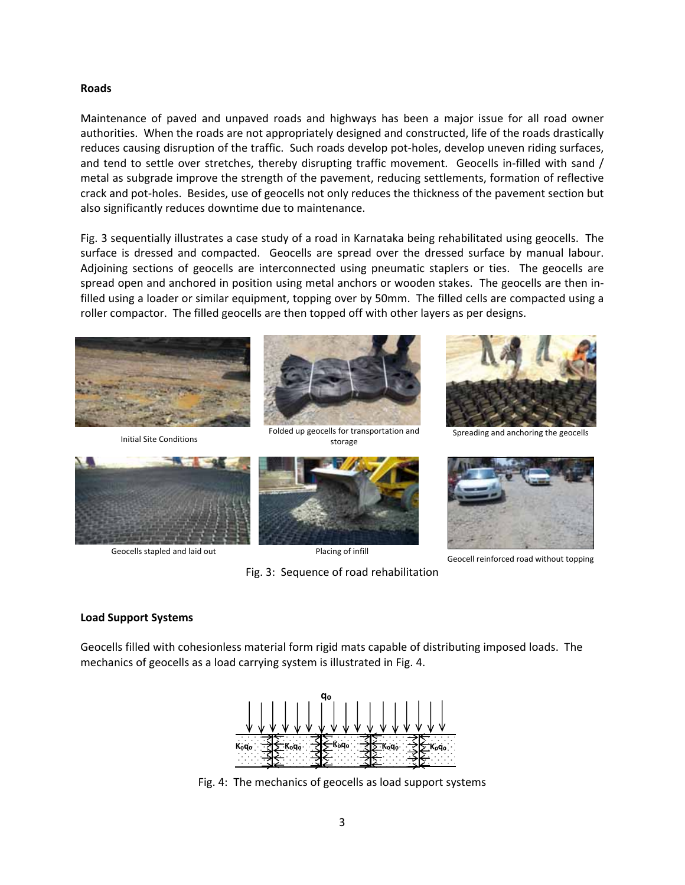#### **Roads**

Maintenance of paved and unpaved roads and highways has been a major issue for all road owner authorities. When the roads are not appropriately designed and constructed, life of the roads drastically reduces causing disruption of the traffic. Such roads develop pot‐holes, develop uneven riding surfaces, and tend to settle over stretches, thereby disrupting traffic movement. Geocells in-filled with sand / metal as subgrade improve the strength of the pavement, reducing settlements, formation of reflective crack and pot‐holes. Besides, use of geocells not only reduces the thickness of the pavement section but also significantly reduces downtime due to maintenance.

Fig. 3 sequentially illustrates a case study of a road in Karnataka being rehabilitated using geocells. The surface is dressed and compacted. Geocells are spread over the dressed surface by manual labour. Adjoining sections of geocells are interconnected using pneumatic staplers or ties. The geocells are spread open and anchored in position using metal anchors or wooden stakes. The geocells are then infilled using a loader or similar equipment, topping over by 50mm. The filled cells are compacted using a roller compactor. The filled geocells are then topped off with other layers as per designs.



Initial Site Conditions



Folded up geocells for transportation and storage



Spreading and anchoring the geocells



Geocells stapled and laid out Placing of infill



Fig. 3: Sequence of road rehabilitation



Geocell reinforced road without topping

#### **Load Support Systems**

Geocells filled with cohesionless material form rigid mats capable of distributing imposed loads. The mechanics of geocells as a load carrying system is illustrated in Fig. 4.



Fig. 4: The mechanics of geocells as load support systems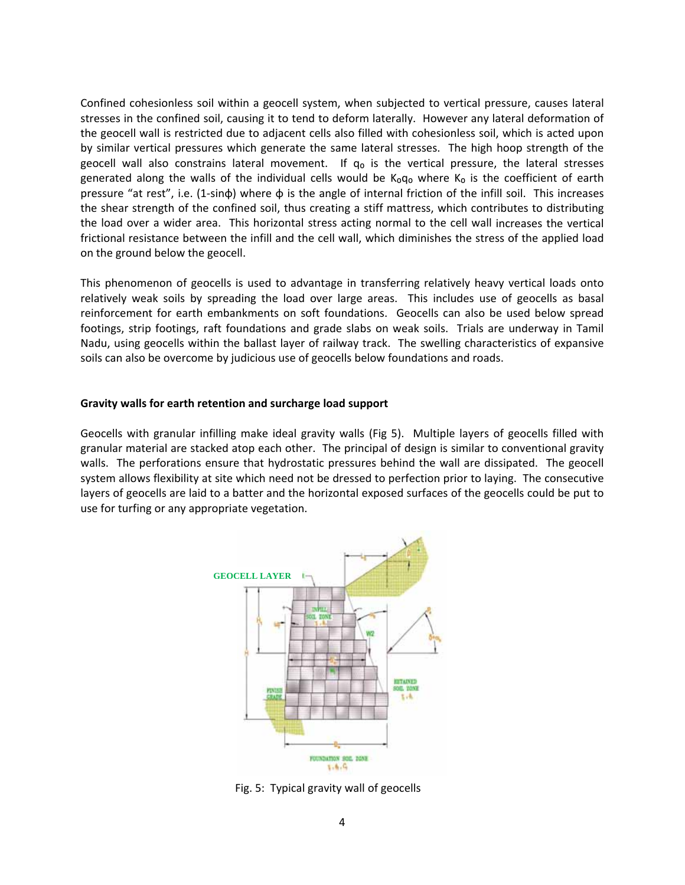Confined cohesionless soil within a geocell system, when subjected to vertical pressure, causes lateral stresses in the confined soil, causing it to tend to deform laterally. However any lateral deformation of the geocell wall is restricted due to adjacent cells also filled with cohesionless soil, which is acted upon by similar vertical pressures which generate the same lateral stresses. The high hoop strength of the geocell wall also constrains lateral movement. If  $q<sub>o</sub>$  is the vertical pressure, the lateral stresses generated along the walls of the individual cells would be  $K_0q_0$  where  $K_0$  is the coefficient of earth pressure "at rest", i.e. (1‐sinφ) where φ is the angle of internal friction of the infill soil. This increases the shear strength of the confined soil, thus creating a stiff mattress, which contributes to distributing the load over a wider area. This horizontal stress acting normal to the cell wall increases the vertical frictional resistance between the infill and the cell wall, which diminishes the stress of the applied load on the ground below the geocell.

This phenomenon of geocells is used to advantage in transferring relatively heavy vertical loads onto relatively weak soils by spreading the load over large areas. This includes use of geocells as basal reinforcement for earth embankments on soft foundations. Geocells can also be used below spread footings, strip footings, raft foundations and grade slabs on weak soils. Trials are underway in Tamil Nadu, using geocells within the ballast layer of railway track. The swelling characteristics of expansive soils can also be overcome by judicious use of geocells below foundations and roads.

#### **Gravity walls for earth retention and surcharge load support**

Geocells with granular infilling make ideal gravity walls (Fig 5). Multiple layers of geocells filled with granular material are stacked atop each other. The principal of design is similar to conventional gravity walls. The perforations ensure that hydrostatic pressures behind the wall are dissipated. The geocell system allows flexibility at site which need not be dressed to perfection prior to laying. The consecutive layers of geocells are laid to a batter and the horizontal exposed surfaces of the geocells could be put to use for turfing or any appropriate vegetation.



Fig. 5: Typical gravity wall of geocells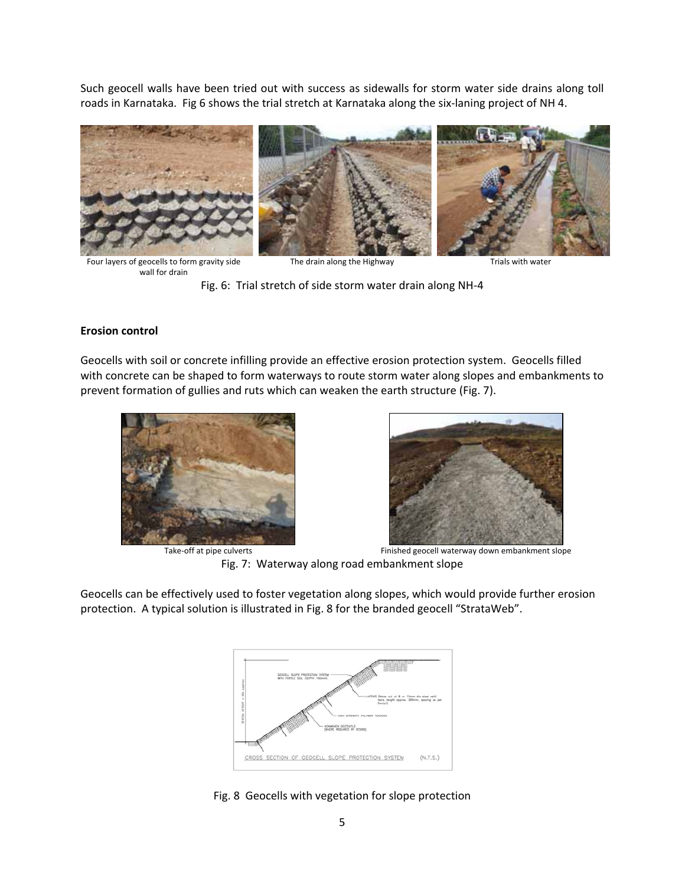Such geocell walls have been tried out with success as sidewalls for storm water side drains along toll roads in Karnataka. Fig 6 shows the trial stretch at Karnataka along the six‐laning project of NH 4.



Four layers of geocells to form gravity side wall for drain

The drain along the Highway The drain along the Highway

Fig. 6: Trial stretch of side storm water drain along NH‐4

#### **Erosion control**

Geocells with soil or concrete infilling provide an effective erosion protection system. Geocells filled with concrete can be shaped to form waterways to route storm water along slopes and embankments to prevent formation of gullies and ruts which can weaken the earth structure (Fig. 7).





Take‐off at pipe culverts Finished geocell waterway down embankment slope Fig. 7: Waterway along road embankment slope

Geocells can be effectively used to foster vegetation along slopes, which would provide further erosion protection. A typical solution is illustrated in Fig. 8 for the branded geocell "StrataWeb".



Fig. 8 Geocells with vegetation for slope protection